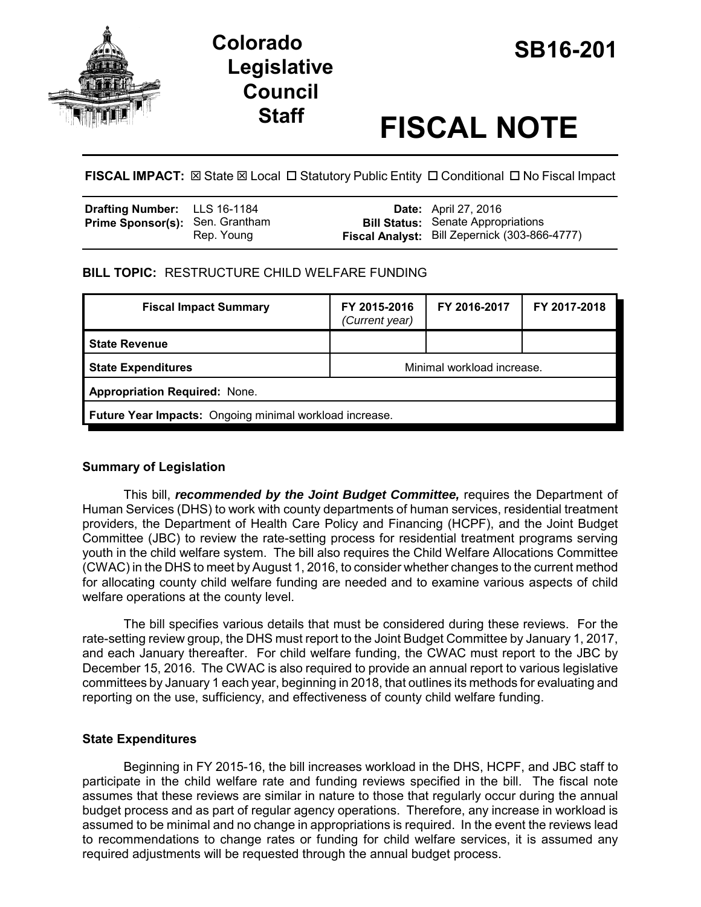

# **SB16-201 Colorado Legislative Council**

# **Staff FISCAL NOTE**

**FISCAL IMPACT:** ⊠ State ⊠ Local □ Statutory Public Entity □ Conditional □ No Fiscal Impact

| Drafting Number: LLS 16-1184           |            | <b>Date:</b> April 27, 2016                          |
|----------------------------------------|------------|------------------------------------------------------|
| <b>Prime Sponsor(s):</b> Sen. Grantham |            | <b>Bill Status:</b> Senate Appropriations            |
|                                        | Rep. Young | <b>Fiscal Analyst:</b> Bill Zepernick (303-866-4777) |

# **BILL TOPIC:** RESTRUCTURE CHILD WELFARE FUNDING

| <b>Fiscal Impact Summary</b>                            | FY 2015-2016<br>(Current year) | FY 2016-2017 | FY 2017-2018 |  |
|---------------------------------------------------------|--------------------------------|--------------|--------------|--|
| <b>State Revenue</b>                                    |                                |              |              |  |
| <b>State Expenditures</b>                               | Minimal workload increase.     |              |              |  |
| <b>Appropriation Required: None.</b>                    |                                |              |              |  |
| Future Year Impacts: Ongoing minimal workload increase. |                                |              |              |  |

# **Summary of Legislation**

This bill, *recommended by the Joint Budget Committee,* requires the Department of Human Services (DHS) to work with county departments of human services, residential treatment providers, the Department of Health Care Policy and Financing (HCPF), and the Joint Budget Committee (JBC) to review the rate-setting process for residential treatment programs serving youth in the child welfare system. The bill also requires the Child Welfare Allocations Committee (CWAC) in the DHS to meet by August 1, 2016, to consider whether changes to the current method for allocating county child welfare funding are needed and to examine various aspects of child welfare operations at the county level.

The bill specifies various details that must be considered during these reviews. For the rate-setting review group, the DHS must report to the Joint Budget Committee by January 1, 2017, and each January thereafter. For child welfare funding, the CWAC must report to the JBC by December 15, 2016. The CWAC is also required to provide an annual report to various legislative committees by January 1 each year, beginning in 2018, that outlines its methods for evaluating and reporting on the use, sufficiency, and effectiveness of county child welfare funding.

# **State Expenditures**

Beginning in FY 2015-16, the bill increases workload in the DHS, HCPF, and JBC staff to participate in the child welfare rate and funding reviews specified in the bill. The fiscal note assumes that these reviews are similar in nature to those that regularly occur during the annual budget process and as part of regular agency operations. Therefore, any increase in workload is assumed to be minimal and no change in appropriations is required. In the event the reviews lead to recommendations to change rates or funding for child welfare services, it is assumed any required adjustments will be requested through the annual budget process.